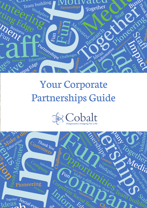

# Your Corporate Partnerships Guide



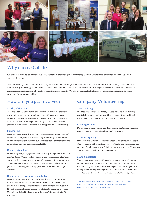

## Why choose Cobalt?

We know that you'll be looking for a cause that supports your efforts, spends your money wisely and makes a real difference. At Cobalt we have a strong track record.

Your money will go directly towards offering equipment and services not generally available within the NHS. We provide the PET/CT service for the NHS, primarily for oncology patients who live in the Three Counties. Cobalt is also leading the way, working in partnership with the NHS to diagnose dementia. This is pioneering work with huge benefits to many patients. We provide training for healthcare professionals and education on cancer prevention for the general public.

## How can you get involved?

#### Charity of the Year

Choosing Cobalt as your charity gives everyone involved the chance to really understand how we are making such a difference to so many people, who you can help us support. You can see your total grow and watch the pennies turn into pounds. It's a great way to boost morale, promote teamwork, raise your profile and support a much loved charity.

#### Fundraising

Whether it's taking part in one of our challenge events or cake sales, staff fundraising is fun, simple and sociable. By supporting your staff's fundraising efforts your company will build motivated and engaged teams and develop their personal and professional skills.

#### Donate gifts in kind

From raffle prizes, to equipment, there are plenty of ways we can use your donated items. We run two large raffles a year – summer and Christmas and are on the lookout for great prizes. We have supporter groups who run countless events throughout the year. They are always looking for tombola prizes such as beauty products, toys, bottles of wine, homeware or gift vouchers.

#### Donating services or professional advice

Please do let us know if you can help us in this way. Local company Integrita kindly donated their services to make a short video for our website free of charge. The video featured our volunteers who raise over £30,000 each year through making recycled cards. Exclusive use venue, Manor by the Lake, kindly donated a 'thank you' afternoon tea for 100 volunteers.

### Company Volunteering

#### Team building

We know that teamwork is key to good business. Our team-building events help to build employee confidence, enhance team working skills, while also having a huge impact on the work that we do.

#### Challenge events

Do you have energetic employees? They can join our team or organise a company team at a range of exciting challenge events.

#### Workplace giving

Staff can give a donation to Cobalt on a regular basis through the payroll. This provides us with a consistent supply of funds. You can support your employees' choice to donate to Cobalt by matching employees' donations. This will double the impact of their donation.

#### Make a difference

Your company can make a difference by supporting the work that we do. We recognise that companies and their employees want to see where their support goes and we will ensure that you have 'line of sight' for any money raised. From providing teams of volunteers for our events and volunteer projects, we will work with you to create the right package.

*Top: Mears Group plc. Nationwide Building Society, High Street, Cheltenham. Willans LLP Solicitors. Bottom: GE Aviation. Gloucestershire Constabulary. Printwaste.*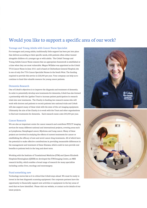## Would you like to support a specific area of our work?

#### Teenage and Young Adults with Cancer Nurse Specialist

For teenagers and young adults, traditionally little support has been put into place that delivers according to their specific needs, with patients often either treated alongside children of a younger age or with adults. The Cobalt Teenage and Young Adults Cancer Nurse ensures that an appropriate framework is established at a time when they are most vulnerable. Megan Willsher was appointed as the Cobalt TYA Cancer Nurse in June 2011 and is based at Cheltenham General Hospital; she is one of only five TYA Cancer Specialist Nurses in the South West. The funding required to provide this service is £28,000 per year. Your company can help us to continue to fund this valuable resource for young cancer patients.

#### Dementia Research

One of Cobalt's objectives is to improve the diagnosis and treatment of dementia. In order to potentially develop new treatments for dementia, Cobalt has also formed a partnership with the 2gether Trust to increase patient participation in research trials into new treatments. The Charity is funding two research nurses who will work with doctors and patients to recruit patients into national trials and Cobalt will also support many of these trials with the state-of-the-art imaging equipment. Ultimately the aim of the Charity is to work with the Trust and other organisations to find new treatments for dementia. Each research nurse costs £40,000 per year.

#### Cancer Research

We are also an important centre for cancer research and contribute PET/CT imaging services for many different national and international projects, covering areas such as Lymphoma, Oesophageal cancer, Myeloma and Lung cancer. Many of these projects are involved in studying the effects of current treatments for cancer or establishing the efficacy of new and novel cancer drug treatments. All of which have the potential to make effective contributions in providing measurable differences in the management and treatment of these illnesses, which could in turn provide real benefits to patients both in the long and short term.

Working with the Institute of Translational Medicine (ITM) and Queen Elizabeth Hospitals Birmingham (QEHB) we developed the ITM Imaging Centre, an MRI research facility, which enables a broad range of research for many specialties including cardiac liver, oncology and neurosurgery.

#### Fund something new

Technology moves fast so it is critical that Cobalt stays ahead. We must be ready to invest in the best diagnostic scanning equipment. Our corporate partners have the opportunity to financially support new activities or equipment in the key areas of need that we have identified. Please visit our website, or contact us for details of our latest projects.